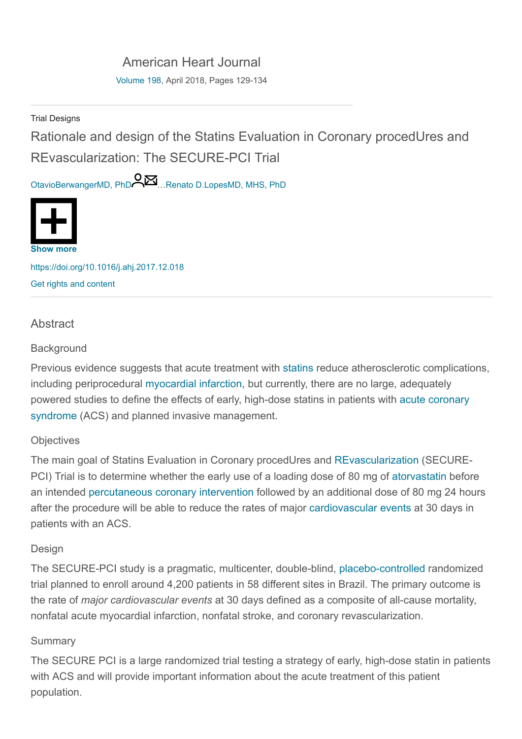# [American Heart Journal](https://www.sciencedirect.com/science/journal/00028703)

[Volume 198,](https://www.sciencedirect.com/science/journal/00028703/198/supp/C) April 2018, Pages 129-134

Trial Designs

Rationale and design of the Statins Evaluation in Coronary procedUres and REvascularization: The SECURE-PCI Trial

[OtavioBerwangerMD, PhD](https://www.sciencedirect.com/science/article/pii/S0002870318300140#!) …[Renato D.LopesMD, MHS, PhD](https://www.sciencedirect.com/science/article/pii/S0002870318300140#!)



<https://doi.org/10.1016/j.ahj.2017.12.018> [Get rights and content](https://s100.copyright.com/AppDispatchServlet?publisherName=ELS&contentID=S0002870318300140&orderBeanReset=true)

## **Abstract**

#### **Background**

Previous evidence suggests that acute treatment with [statins](https://www.sciencedirect.com/topics/medicine-and-dentistry/statin) reduce atherosclerotic complications, including periprocedural [myocardial infarction,](https://www.sciencedirect.com/topics/medicine-and-dentistry/myocardial-infarction) but currently, there are no large, adequately [powered studies to define the effects of early, high-dose statins in patients with](https://www.sciencedirect.com/topics/medicine-and-dentistry/acute-coronary-syndrome) acute coronary syndrome (ACS) and planned invasive management.

### **Objectives**

The main goal of Statins Evaluation in Coronary procedUres and [REvascularization](https://www.sciencedirect.com/topics/medicine-and-dentistry/revascularization) (SECURE-PCI) Trial is to determine whether the early use of a loading dose of 80 mg of [atorvastatin](https://www.sciencedirect.com/topics/medicine-and-dentistry/atorvastatin) before an intended [percutaneous coronary intervention](https://www.sciencedirect.com/topics/medicine-and-dentistry/percutaneous-coronary-intervention) followed by an additional dose of 80 mg 24 hours after the procedure will be able to reduce the rates of major [cardiovascular events](https://www.sciencedirect.com/topics/medicine-and-dentistry/cardiovascular-disease) at 30 days in patients with an ACS.

### Design

The SECURE-PCI study is a pragmatic, multicenter, double-blind, [placebo-controlled](https://www.sciencedirect.com/topics/medicine-and-dentistry/placebo-controlled-study) randomized trial planned to enroll around 4,200 patients in 58 different sites in Brazil. The primary outcome is the rate of major cardiovascular events at 30 days defined as a composite of all-cause mortality, nonfatal acute myocardial infarction, nonfatal stroke, and coronary revascularization.

### **Summary**

The SECURE PCI is a large randomized trial testing a strategy of early, high-dose statin in patients with ACS and will provide important information about the acute treatment of this patient population.